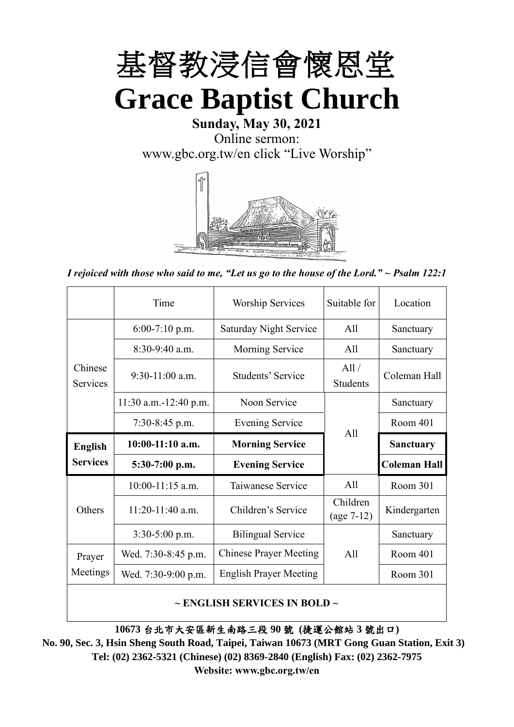

# **Sunday, May 30, 2021** Online sermon: [www.gbc.org.tw/en](http://www.gbc.org.tw/en) click "Live Worship"



*I rejoiced with those who said to me, "Let us go to the house of the Lord." ~ Psalm 122:1*

|                            | Time                    | <b>Worship Services</b>       | Suitable for             | Location            |
|----------------------------|-------------------------|-------------------------------|--------------------------|---------------------|
|                            | $6:00-7:10$ p.m.        | <b>Saturday Night Service</b> | A11                      | Sanctuary           |
|                            | $8:30-9:40$ a.m.        | Morning Service               | All                      | Sanctuary           |
| Chinese<br><b>Services</b> | $9:30-11:00$ a.m.       | <b>Students' Service</b>      | All /<br><b>Students</b> | Coleman Hall        |
|                            | $11:30$ a.m.-12:40 p.m. | Noon Service                  |                          | Sanctuary           |
|                            | $7:30-8:45$ p.m.        | <b>Evening Service</b>        | A11                      | Room 401            |
|                            |                         |                               |                          |                     |
| <b>English</b>             | $10:00-11:10$ a.m.      | <b>Morning Service</b>        |                          | <b>Sanctuary</b>    |
| <b>Services</b>            | $5:30-7:00$ p.m.        | <b>Evening Service</b>        |                          | <b>Coleman Hall</b> |
|                            | $10:00-11:15$ a.m.      | Taiwanese Service             | A11                      | Room 301            |
| Others                     | $11:20-11:40$ a.m.      | Children's Service            | Children<br>$(age 7-12)$ | Kindergarten        |
|                            | $3:30-5:00$ p.m.        | <b>Bilingual Service</b>      |                          | Sanctuary           |
| Prayer                     | Wed. 7:30-8:45 p.m.     | <b>Chinese Prayer Meeting</b> | A11                      | Room 401            |
| Meetings                   | Wed. 7:30-9:00 p.m.     | <b>English Prayer Meeting</b> |                          | Room 301            |

#### **~ ENGLISH SERVICES IN BOLD ~**

**10673** 台北市大安區新生南路三段 **90** 號 **(**捷運公館站 **3** 號出口**)**

**No. 90, Sec. 3, Hsin Sheng South Road, Taipei, Taiwan 10673 (MRT Gong Guan Station, Exit 3) Tel: (02) 2362-5321 (Chinese) (02) 8369-2840 (English) Fax: (02) 2362-7975 Website: www.gbc.org.tw/en**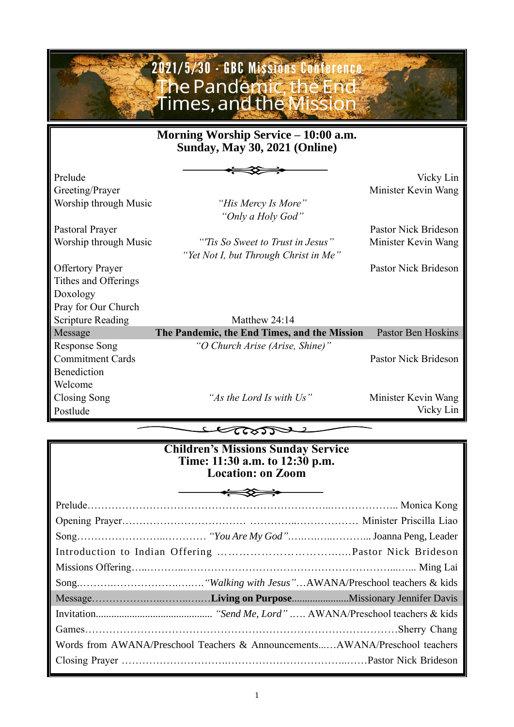# Welcome to Grace Bank Congregation Congregation Congregation **Thanks You for choosing to with us and conference** the glory of  $\sim$

**Morning Worship Service – 10:00 a.m. Sunday, May 30, 2021 (Online)**

Prelude Vicky Lin Greeting/Prayer Minister Kevin Wang Worship through Music *"His Mercy Is More"*

Pastoral Prayer Pastor Nick Brideson

Offertory Prayer Pastor Nick Brideson Tithes and Offerings Doxology Pray for Our Church Scripture Reading Matthew 24:14 Response Song *"O Church Arise (Arise, Shine)"* **Commitment Cards** Pastor Nick Brideson Benediction Welcome

*"Only a Holy God"*

Worship through Music *"'Tis So Sweet to Trust in Jesus"* Minister Kevin Wang *"Yet Not I, but Through Christ in Me"*

Message **The Pandemic, the End Times, and the Mission** Pastor Ben Hoskins

Closing Song *"As the Lord Is with Us"* Minister Kevin Wang

Postlude Vicky Lin

Lettosse

|                                                                             | <b>Children's Missions Sunday Service</b><br>Time: 11:30 a.m. to 12:30 p.m.<br><b>Location: on Zoom</b> |  |
|-----------------------------------------------------------------------------|---------------------------------------------------------------------------------------------------------|--|
|                                                                             | —— <del>* (32) *</del> ——                                                                               |  |
|                                                                             |                                                                                                         |  |
|                                                                             |                                                                                                         |  |
|                                                                             |                                                                                                         |  |
|                                                                             |                                                                                                         |  |
|                                                                             |                                                                                                         |  |
|                                                                             |                                                                                                         |  |
|                                                                             |                                                                                                         |  |
|                                                                             |                                                                                                         |  |
| Words from AWANA/Preschool Teachers & AnnouncementsAWANA/Preschool teachers |                                                                                                         |  |
|                                                                             |                                                                                                         |  |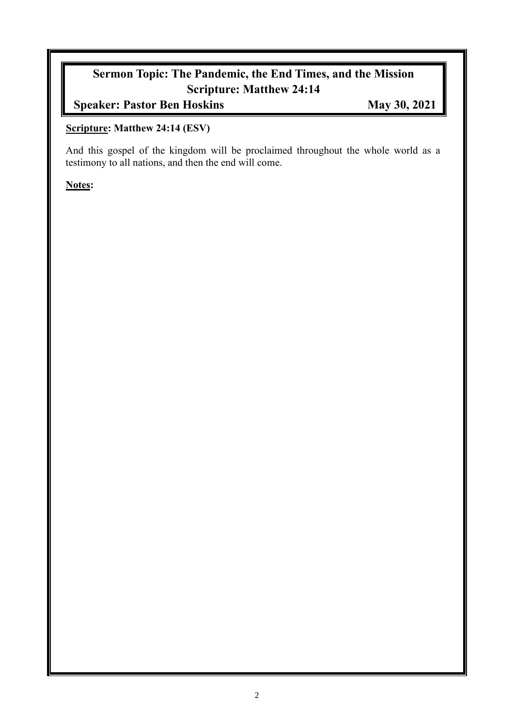# **Sermon Topic: The Pandemic, the End Times, and the Mission Scripture: Matthew 24:14**

# **Speaker: Pastor Ben Hoskins May 30, 2021**

#### **Scripture: Matthew 24:14 (ESV)**

And this gospel of the kingdom will be proclaimed throughout the whole world as a testimony to all nations, and then the end will come.

**Notes:**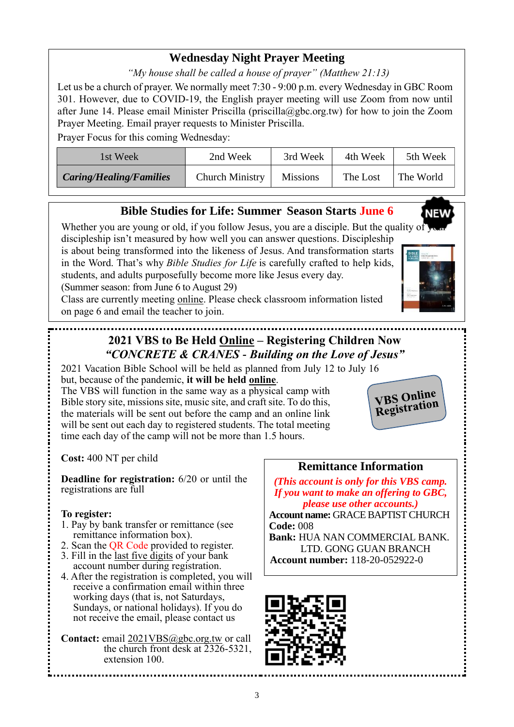# **Wednesday Night Prayer Meeting**

*"My house shall be called a house of prayer" (Matthew 21:13)*

Let us be a church of prayer. We normally meet 7:30 - 9:00 p.m. every Wednesday in GBC Room 301. However, due to COVID-19, the English prayer meeting will use Zoom from now until after June 14. Please email Minister Priscilla (priscilla@gbc.org.tw) for how to join the Zoom Prayer Meeting. Email prayer requests to Minister Priscilla.

Prayer Focus for this coming Wednesday:

| 1st Week                | 2nd Week               | 3rd Week        | 4th Week | 5th Week  |
|-------------------------|------------------------|-----------------|----------|-----------|
| Caring/Healing/Families | <b>Church Ministry</b> | <b>Missions</b> | The Lost | The World |

## **Bible Studies for Life: Summer Season Starts June 6**

Whether you are young or old, if you follow Jesus, you are a disciple. But the quality of discipleship isn't measured by how well you can answer questions. Discipleship is about being transformed into the likeness of Jesus. And transformation starts

in the Word. That's why *Bible Studies for Life* is carefully crafted to help kids, students, and adults purposefully become more like Jesus every day. (Summer season: from June 6 to August 29)

Class are currently meeting online. Please check classroom information listed on page 6 and email the teacher to join.

# **2021 VBS to Be Held Online – Registering Children Now** *"CONCRETE & CRANES - Building on the Love of Jesus"*

2021 Vacation Bible School will be held as planned from July 12 to July 16 but, because of the pandemic, **it will be held online**. The VBS will function in the same way as a physical camp with Bible story site, missions site, music site, and craft site. To do this, the materials will be sent out before the camp and an online link

will be sent out each day to registered students. The total meeting

time each day of the camp will not be more than 1.5 hours.

**VBS** Online **VBS** Ontion

**Cost:** 400 NT per child

**Deadline for registration:** 6/20 or until the registrations are full

#### **To register:**

- 1. Pay by bank transfer or remittance (see remittance information box).
- 2. Scan the QR Code provided to register.
- 3. Fill in the last five digits of your bank account number during registration.
- 4. After the registration is completed, you will receive a confirmation email within three working days (that is, not Saturdays, Sundays, or national holidays). If you do not receive the email, please contact us

**Contact:** email 2021VBS@gbc.org.tw or call the church front desk at 2326-5321. extension 100.

#### **Remittance Information**

*(This account is only for this VBS camp. If you want to make an offering to GBC, please use other accounts.)* **Account name:** GRACE BAPTIST CHURCH **Code:** 008

**Bank:** HUA NAN COMMERCIAL BANK. LTD. GONG GUAN BRANCH **Account number:** 118-20-052922-0

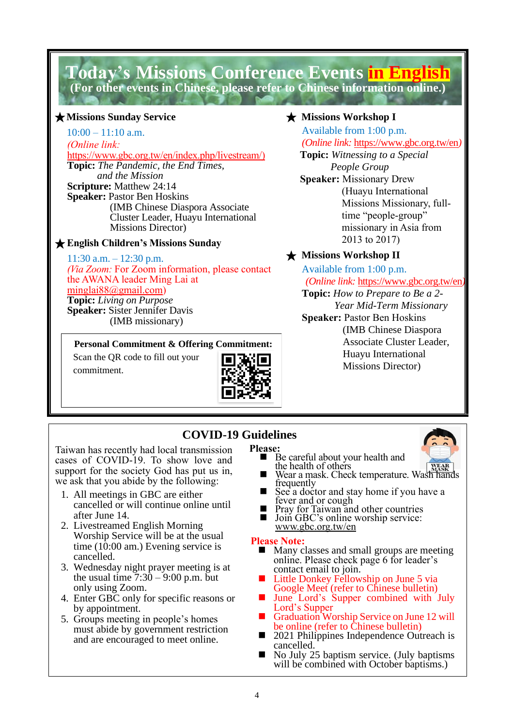# **Today's Missions Conference Events in English (For other events in Chinese, please refer to Chinese information online.)**

#### ★**Missions Sunday Service**

 $10:00 - 11:10$  a.m. *(Online link:*  [https://www.gbc.org.tw/en/index.php/livestream/\)](https://www.gbc.org.tw/en/index.php/livestream/) **Topic:** *The Pandemic, the End Times, and the Mission* **Scripture:** Matthew 24:14 **Speaker:** Pastor Ben Hoskins (IMB Chinese Diaspora Associate Cluster Leader, Huayu International Missions Director)

#### ★**English Children's Missions Sunday**

 $11:30$  a.m.  $-12:30$  p.m. *(Via Zoom: For Zoom information, please contact)* the AWANA leader Ming Lai at [minglai88@gmail.com\)](mailto:minglai88@gmail.com) **Topic:** *Living on Purpose* **Speaker:** Sister Jennifer Davis (IMB missionary)

#### **Personal Commitment & Offering Commitment:**

Scan the QR code to fill out your commitment.



## ★ **Missions Workshop I**

Available from 1:00 p.m. *(Online link:* <https://www.gbc.org.tw/en>*)* **Topic:** *Witnessing to a Special People Group* **Speaker:** Missionary Drew (Huayu International Missions Missionary, fulltime "people-group" missionary in Asia from 2013 to 2017)

## ★ **Missions Workshop II**

Available from 1:00 p.m. *(Online link:* <https://www.gbc.org.tw/en>*)* **Topic:** *How to Prepare to Be a 2- Year Mid-Term Missionary* **Speaker:** Pastor Ben Hoskins (IMB Chinese Diaspora Associate Cluster Leader, Huayu International Missions Director)

# **COVID-19 Guidelines**

Taiwan has recently had local transmission cases of COVID-19. To show love and support for the society God has put us in, we ask that you abide by the following:

- 1. All meetings in GBC are either cancelled or will continue online until after June 14.
- 2. Livestreamed English Morning Worship Service will be at the usual time  $(10:00)$  am.) Evening service is cancelled.
- 3. Wednesday night prayer meeting is at the usual time  $7:30 - 9:00$  p.m. but only using Zoom.
- 4. Enter GBC only for specific reasons or by appointment.
- 5. Groups meeting in people's homes must abide by government restriction and are encouraged to meet online.

# **Please:**

- Be careful about your health and the health of others
- Wear a mask. Check temperature. Wash hands frequently
- See a doctor and stay home if you have a fever and or cough
- Pray for Taiwan and other countries
- Join GBC's online worship service: www.gbc.org.tw/en

#### **Please Note:**

- Many classes and small groups are meeting online. Please check page 6 for leader's contact email to join.
- Little Donkey Fellowship on June 5 via Google Meet (refer to Chinese bulletin)
- June Lord's Supper combined with July Lord's Supper
- Graduation Worship Service on June 12 will be online (refer to Chinese bulletin)
- 2021 Philippines Independence Outreach is cancelled.
- No July 25 baptism service. (July baptisms will be combined with October baptisms.)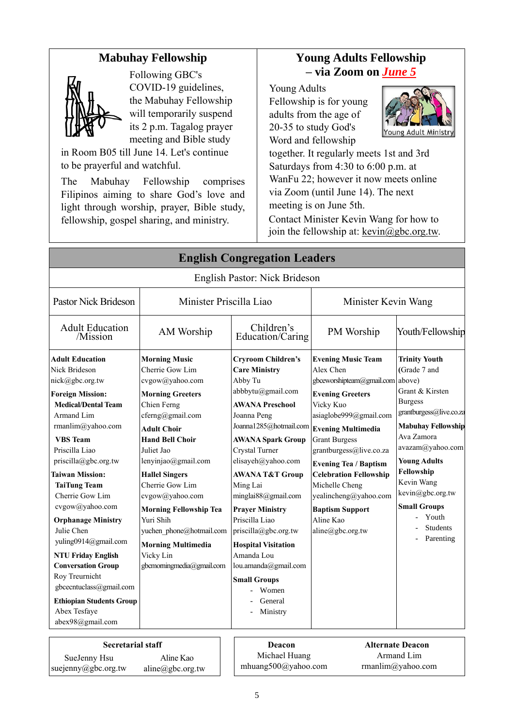### **Mabuhay Fellowship**



suejenny@gbc.org.tw

aline@gbc.org.tw

Following GBC's COVID-19 guidelines, the Mabuhay Fellowship will temporarily suspend its 2 p.m. Tagalog prayer meeting and Bible study

in Room B05 till June 14. Let's continue to be prayerful and watchful.

The Mabuhay Fellowship comprises Filipinos aiming to share God's love and light through worship, prayer, Bible study, fellowship, gospel sharing, and ministry.

# **Young Adults Fellowship – via Zoom on** *June 5*

Young Adults Fellowship is for young adults from the age of 20-35 to study God's Word and fellowship



together. It regularly meets 1st and 3rd Saturdays from 4:30 to 6:00 p.m. at WanFu 22; however it now meets online via Zoom (until June 14). The next meeting is on June 5th.

Contact Minister Kevin Wang for how to join the fellowship at:  $kevin@gbc.org.tw$ .

|                                                                                                                                                                                                                                                                                                                                                                                                                                                                                                                                                             |                                                                                                                                                                                                                                                                                                                                                                                                                               | <b>English Congregation Leaders</b>                                                                                                                                                                                                                                                                                                                                                                                                                                                      |                                                                                                                                                                                                                                                                                                                                                                                              |                                                                                                                                                                                                                                                                                                                      |
|-------------------------------------------------------------------------------------------------------------------------------------------------------------------------------------------------------------------------------------------------------------------------------------------------------------------------------------------------------------------------------------------------------------------------------------------------------------------------------------------------------------------------------------------------------------|-------------------------------------------------------------------------------------------------------------------------------------------------------------------------------------------------------------------------------------------------------------------------------------------------------------------------------------------------------------------------------------------------------------------------------|------------------------------------------------------------------------------------------------------------------------------------------------------------------------------------------------------------------------------------------------------------------------------------------------------------------------------------------------------------------------------------------------------------------------------------------------------------------------------------------|----------------------------------------------------------------------------------------------------------------------------------------------------------------------------------------------------------------------------------------------------------------------------------------------------------------------------------------------------------------------------------------------|----------------------------------------------------------------------------------------------------------------------------------------------------------------------------------------------------------------------------------------------------------------------------------------------------------------------|
|                                                                                                                                                                                                                                                                                                                                                                                                                                                                                                                                                             |                                                                                                                                                                                                                                                                                                                                                                                                                               | English Pastor: Nick Brideson                                                                                                                                                                                                                                                                                                                                                                                                                                                            |                                                                                                                                                                                                                                                                                                                                                                                              |                                                                                                                                                                                                                                                                                                                      |
| <b>Pastor Nick Brideson</b>                                                                                                                                                                                                                                                                                                                                                                                                                                                                                                                                 | Minister Priscilla Liao                                                                                                                                                                                                                                                                                                                                                                                                       |                                                                                                                                                                                                                                                                                                                                                                                                                                                                                          | Minister Kevin Wang                                                                                                                                                                                                                                                                                                                                                                          |                                                                                                                                                                                                                                                                                                                      |
| <b>Adult Education</b><br>/Mission                                                                                                                                                                                                                                                                                                                                                                                                                                                                                                                          | AM Worship                                                                                                                                                                                                                                                                                                                                                                                                                    | Children's<br>Education/Caring                                                                                                                                                                                                                                                                                                                                                                                                                                                           | PM Worship                                                                                                                                                                                                                                                                                                                                                                                   | Youth/Fellowship                                                                                                                                                                                                                                                                                                     |
| <b>Adult Education</b><br>Nick Brideson<br>nick@gbc.org.tw<br><b>Foreign Mission:</b><br><b>Medical/Dental Team</b><br>Armand Lim<br>rmanlim@yahoo.com<br><b>VBS</b> Team<br>Priscilla Liao<br>priscilla@gbc.org.tw<br><b>Taiwan Mission:</b><br><b>TaiTung Team</b><br>Cherrie Gow Lim<br>cvgow@yahoo.com<br><b>Orphanage Ministry</b><br>Julie Chen<br>yuling0914@gmail.com<br><b>NTU Friday English</b><br><b>Conversation Group</b><br>Roy Treurnicht<br>gbcecntuclass@gmail.com<br><b>Ethiopian Students Group</b><br>Abex Tesfaye<br>abex98@gmail.com | <b>Morning Music</b><br>Cherrie Gow Lim<br>cvgow@yahoo.com<br><b>Morning Greeters</b><br>Chien Ferng<br>cferng@gmail.com<br><b>Adult Choir</b><br><b>Hand Bell Choir</b><br>Juliet Jao<br>lenyinjao@gmail.com<br><b>Hallel Singers</b><br>Cherrie Gow Lim<br>cvgow@yahoo.com<br><b>Morning Fellowship Tea</b><br>Yuri Shih<br>yuchen phone@hotmail.com<br><b>Morning Multimedia</b><br>Vicky Lin<br>gbcmorningmedia@gmail.com | <b>Cryroom Children's</b><br><b>Care Ministry</b><br>Abby Tu<br>abbbytu@gmail.com<br><b>AWANA Preschool</b><br>Joanna Peng<br>Joanna1285@hotmail.com<br><b>AWANA Spark Group</b><br>Crystal Turner<br>elisayeh@yahoo.com<br><b>AWANA T&amp;T Group</b><br>Ming Lai<br>minglai88@gmail.com<br><b>Prayer Ministry</b><br>Priscilla Liao<br>priscilla@gbc.org.tw<br><b>Hospital Visitation</b><br>Amanda Lou<br>lou.amanda@gmail.com<br><b>Small Groups</b><br>Women<br>General<br>Ministry | <b>Evening Music Team</b><br>Alex Chen<br>gbceworshipteam@gmail.com<br><b>Evening Greeters</b><br>Vicky Kuo<br>asiaglobe999@gmail.com<br><b>Evening Multimedia</b><br><b>Grant Burgess</b><br>grantburgess@live.co.za<br><b>Evening Tea / Baptism</b><br><b>Celebration Fellowship</b><br>Michelle Cheng<br>yealincheng@yahoo.com<br><b>Baptism Support</b><br>Aline Kao<br>aline@gbc.org.tw | <b>Trinity Youth</b><br>(Grade 7 and<br>above)<br>Grant & Kirsten<br><b>Burgess</b><br>grantburgess@live.co.za<br><b>Mabuhay Fellowship</b><br>Ava Zamora<br>avazam@yahoo.com<br><b>Young Adults</b><br>Fellowship<br>Kevin Wang<br>kevin@gbc.org.tw<br><b>Small Groups</b><br>Youth<br><b>Students</b><br>Parenting |
| <b>Secretarial staff</b><br>SueJenny Hsu                                                                                                                                                                                                                                                                                                                                                                                                                                                                                                                    | Aline Kao                                                                                                                                                                                                                                                                                                                                                                                                                     | Deacon<br>Michael Huang                                                                                                                                                                                                                                                                                                                                                                                                                                                                  |                                                                                                                                                                                                                                                                                                                                                                                              | <b>Alternate Deacon</b><br>Armand Lim                                                                                                                                                                                                                                                                                |

mhuang500@yahoo.com

rmanlim@yahoo.com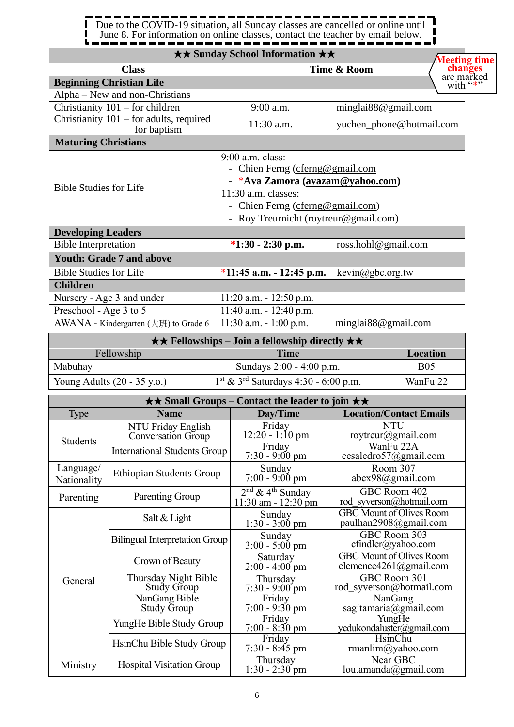Due to the COVID-19 situation, all Sunday classes are cancelled or online until June 8. For information on online classes, contact the teacher by email below.

#### ★★ **Fellowships – Join a fellowship directly** ★★ Fellowship **Time Location** ★★ **Sunday School Information** ★★ **Class Time & Room Beginning Christian Life** Alpha – New and non-Christians Christianity 101 – for children 19:00 a.m. minglai88@gmail.com Christianity 101 – for adults, required for baptism 11:30 a.m. yuchen\_phone@hotmail.com **Maturing Christians** Bible Studies for Life 9:00 a.m. class: - Chien Ferng [\(cferng@gmail.com](mailto:cferng@gmail.com) - \***Ava Zamora (avazam@yahoo.com)**  11:30 a.m. classes: - Chien Ferng [\(cferng@gmail.com\)](mailto:cferng@gmail.com) - Roy Treurnicht (roytreur@gmail.com) **Developing Leaders** Bible Interpretation **\*1:30 - 2:30 p.m.** ross.hohl@gmail.com **Youth: Grade 7 and above** Bible Studies for Life \***11:45 a.m. - 12:45 p.m.** kevin@gbc.org.tw **Children** Nursery - Age 3 and under 11:20 a.m. - 12:50 p.m. Preschool - Age 3 to 5 11:40 a.m. - 12:40 p.m. AWANA - Kindergarten ( $\pm \text{H}$ ) to Grade 6 | 11:30 a.m. - 1:00 p.m. | minglai88@gmail.com **Meeting time changes** are marked with "\*"

| Mabuhay                               | Sundays 2:00 - 4:00 p.m.                           | <b>B05</b> |
|---------------------------------------|----------------------------------------------------|------------|
| Young Adults $(20 - 35 \text{ y.o.})$ | $1st$ & 3 <sup>rd</sup> Saturdays 4:30 - 6:00 p.m. | WanFu 22   |

|                          | $\star\star$ Small Groups – Contact the leader to join $\star\star$ |                                                       |                                                          |  |  |
|--------------------------|---------------------------------------------------------------------|-------------------------------------------------------|----------------------------------------------------------|--|--|
| Type                     | <b>Name</b>                                                         | Day/Time                                              | <b>Location/Contact Emails</b>                           |  |  |
| <b>Students</b>          | NTU Friday English<br><b>Conversation Group</b>                     | Friday<br>$12:20 - 1:10$ pm                           | <b>NTU</b><br>roytreur@gmail.com                         |  |  |
|                          | <b>International Students Group</b>                                 | Friday<br>$7:30 - 9:00 \text{ pm}$                    | WanFu 22A<br>cesaledro57@gmail.com                       |  |  |
| Language/<br>Nationality | <b>Ethiopian Students Group</b>                                     | Sunday<br>$7:00 - 9:00$ pm                            | Room 307<br>abex98@gmail.com                             |  |  |
| Parenting                | Parenting Group                                                     | $2nd$ & 4 <sup>th</sup> Sunday<br>11:30 am - 12:30 pm | GBC Room 402<br>rod syverson@hotmail.com                 |  |  |
|                          | Salt & Light                                                        | Sunday<br>$1:30 - 3:00 \text{ pm}$                    | <b>GBC Mount of Olives Room</b><br>paulhan2908@gmail.com |  |  |
|                          | <b>Bilingual Interpretation Group</b>                               | Sunday<br>$3:00 - 5:00 \text{ pm}$                    | GBC Room 303<br>$cfindler(a)$ yahoo.com                  |  |  |
|                          | Crown of Beauty                                                     | Saturday<br>$2:00 - 4:00$ pm                          | GBC Mount of Olives Room<br>clemence4261@gmail.com       |  |  |
| General                  | Thursday Night Bible<br>Study Group                                 | Thursday<br>$7:30 - 9:00$ pm                          | GBC Room 301<br>rod syverson@hotmail.com                 |  |  |
|                          | NanGang Bible<br>Study Group                                        | Friday<br>$7:00 - 9:30$ pm                            | NanGang<br>sagitamaria@gmail.com                         |  |  |
|                          | YungHe Bible Study Group                                            | Friday<br>$7:00 - 8:30$ pm                            | YungHe<br>yedukondaluster@gmail.com                      |  |  |
|                          | HsinChu Bible Study Group                                           | Friday<br>$7:30 - 8:45$ pm                            | HsinChu<br>rmanlim@yahoo.com                             |  |  |
| Ministry                 | <b>Hospital Visitation Group</b>                                    | Thursday<br>$1:30 - 2:30$ pm                          | Near GBC<br>lou.amanda@gmail.com                         |  |  |